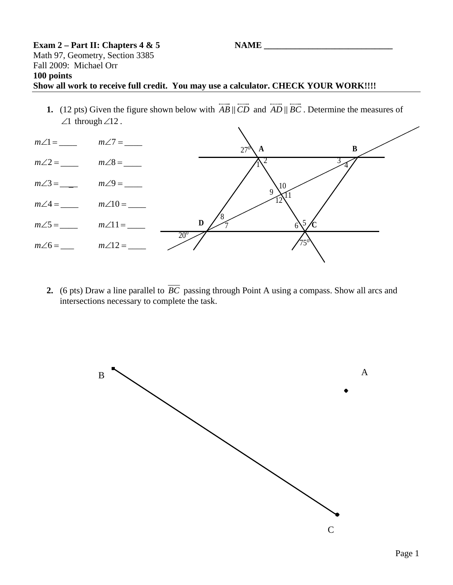## $\textbf{Example 2 - Part II: Chapters 4 & 5}$  NAME Math 97, Geometry, Section 3385 Fall 2009: Michael Orr **100 points Show all work to receive full credit. You may use a calculator. CHECK YOUR WORK!!!!**

**1.** (12 pts) Given the figure shown below with  $AB \parallel CD$  $\overline{\phantom{a}}$  $\overrightarrow{CD}$  and  $\overrightarrow{AD}$   $\overrightarrow{BC}$ . Determine the measures of ∠1 through∠12 .



**2.** (6 pts) Draw a line parallel to  $\overline{BC}$  passing through Point A using a compass. Show all arcs and intersections necessary to complete the task.

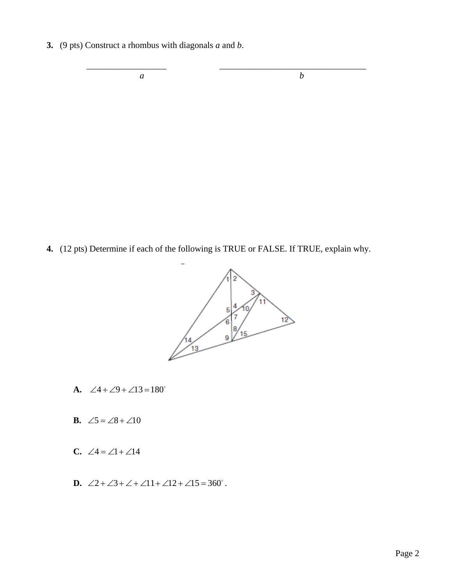**3.** (9 pts) Construct a rhombus with diagonals *a* and *b*.

*a b*

**4.** (12 pts) Determine if each of the following is TRUE or FALSE. If TRUE, explain why.

 $\overline{\phantom{a}}$  ,  $\overline{\phantom{a}}$  ,  $\overline{\phantom{a}}$  ,  $\overline{\phantom{a}}$  ,  $\overline{\phantom{a}}$  ,  $\overline{\phantom{a}}$  ,  $\overline{\phantom{a}}$  ,  $\overline{\phantom{a}}$  ,  $\overline{\phantom{a}}$  ,  $\overline{\phantom{a}}$  ,  $\overline{\phantom{a}}$  ,  $\overline{\phantom{a}}$  ,  $\overline{\phantom{a}}$  ,  $\overline{\phantom{a}}$  ,  $\overline{\phantom{a}}$  ,  $\overline{\phantom{a}}$ 



- **A.** ∠4 + ∠9 + ∠13 = 180°
- **B.**  $\angle 5 = \angle 8 + \angle 10$
- **C.** ∠4 = ∠1 + ∠14
- **D.** ∠2 + ∠3 + ∠ + ∠11 + ∠12 + ∠15 = 360°.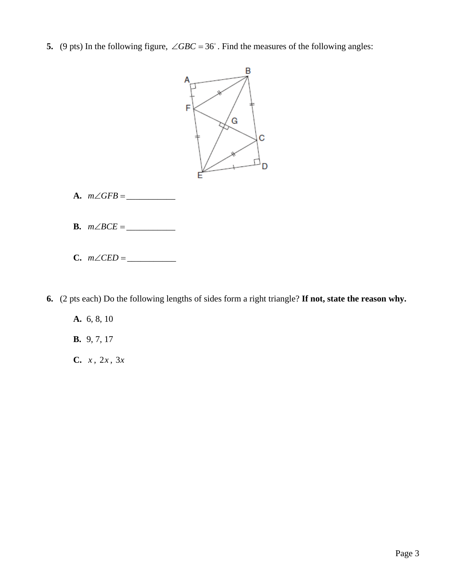**5.** (9 pts) In the following figure,  $\angle GBC = 36^\circ$ . Find the measures of the following angles:



- **A.**  $m∠GFB = \_$
- **B.** *m BCE* ∠ = \_\_\_\_\_\_\_\_\_\_\_
- **C.**  $m∠CED =$   $_$

**6.** (2 pts each) Do the following lengths of sides form a right triangle? **If not, state the reason why.**

**A.** 6, 8, 10

**B.** 9, 7, 17

**C.** *x* , 2*x* , 3*x*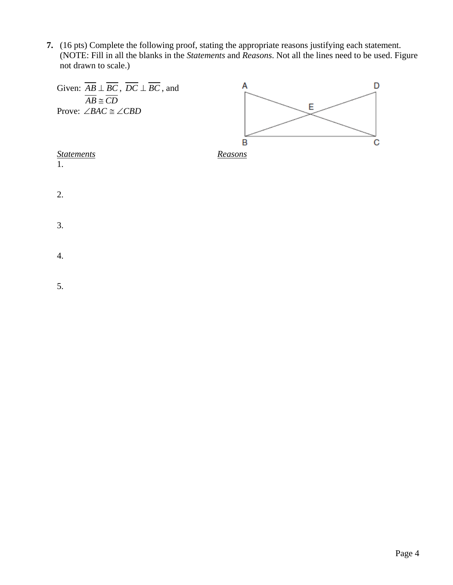**7.** (16 pts) Complete the following proof, stating the appropriate reasons justifying each statement. (NOTE: Fill in all the blanks in the *Statements* and *Reasons*. Not all the lines need to be used. Figure not drawn to scale.)



5.